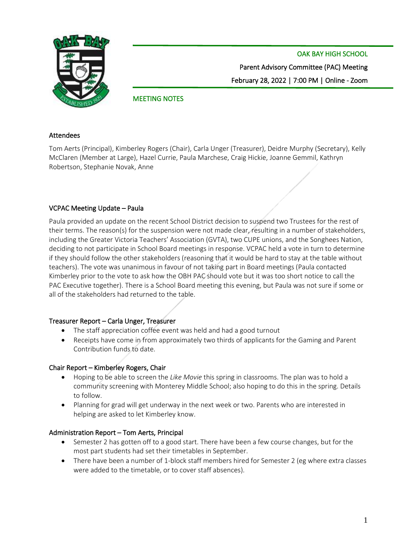

OAK BAY HIGH SCHOOL

Parent Advisory Committee (PAC) Meeting February 28, 2022 | 7:00 PM | Online - Zoom

# MEETING NOTES

#### Attendees

Tom Aerts (Principal), Kimberley Rogers (Chair), Carla Unger (Treasurer), Deidre Murphy (Secretary), Kelly McClaren (Member at Large), Hazel Currie, Paula Marchese, Craig Hickie, Joanne Gemmil, Kathryn Robertson, Stephanie Novak, Anne

### VCPAC Meeting Update – Paula

Paula provided an update on the recent School District decision to suspend two Trustees for the rest of their terms. The reason(s) for the suspension were not made clear, resulting in a number of stakeholders, including the Greater Victoria Teachers' Association (GVTA), two CUPE unions, and the Songhees Nation, deciding to not participate in School Board meetings in response. VCPAC held a vote in turn to determine if they should follow the other stakeholders (reasoning that it would be hard to stay at the table without teachers). The vote was unanimous in favour of not taking part in Board meetings (Paula contacted Kimberley prior to the vote to ask how the OBH PAC should vote but it was too short notice to call the PAC Executive together). There is a School Board meeting this evening, but Paula was not sure if some or all of the stakeholders had returned to the table.

### Treasurer Report – Carla Unger, Treasurer

- The staff appreciation coffee event was held and had a good turnout
- Receipts have come in from approximately two thirds of applicants for the Gaming and Parent Contribution funds to date.

### Chair Report – Kimberley Rogers, Chair

- Hoping to be able to screen the *Like Movie* this spring in classrooms. The plan was to hold a community screening with Monterey Middle School; also hoping to do this in the spring. Details to follow.
- Planning for grad will get underway in the next week or two. Parents who are interested in helping are asked to let Kimberley know.

### Administration Report – Tom Aerts, Principal

- Semester 2 has gotten off to a good start. There have been a few course changes, but for the most part students had set their timetables in September.
- There have been a number of 1-block staff members hired for Semester 2 (eg where extra classes were added to the timetable, or to cover staff absences).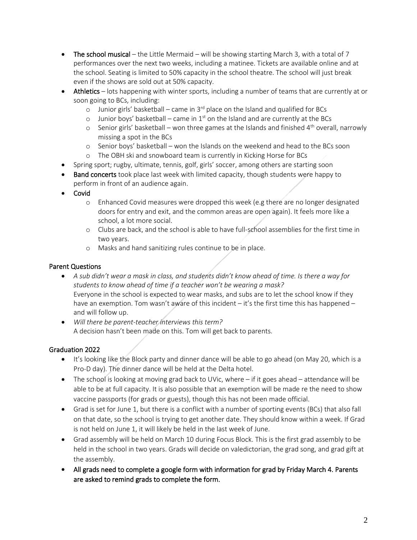- The school musical the Little Mermaid will be showing starting March 3, with a total of 7 performances over the next two weeks, including a matinee. Tickets are available online and at the school. Seating is limited to 50% capacity in the school theatre. The school will just break even if the shows are sold out at 50% capacity.
- Athletics lots happening with winter sports, including a number of teams that are currently at or soon going to BCs, including:
	- o Junior girls' basketball came in  $3<sup>rd</sup>$  place on the Island and qualified for BCs
	- $\circ$  Junior boys' basketball came in 1<sup>st</sup> on the Island and are currently at the BCs
	- $\circ$  Senior girls' basketball won three games at the Islands and finished 4<sup>th</sup> overall, narrowly missing a spot in the BCs
	- o Senior boys' basketball won the Islands on the weekend and head to the BCs soon
	- o The OBH ski and snowboard team is currently in Kicking Horse for BCs
- Spring sport; rugby, ultimate, tennis, golf, girls' soccer, among others are starting soon
- Band concerts took place last week with limited capacity, though students were happy to perform in front of an audience again.
- Covid
	- o Enhanced Covid measures were dropped this week (e.g there are no longer designated doors for entry and exit, and the common areas are open again). It feels more like a school, a lot more social.
	- o Clubs are back, and the school is able to have full-school assemblies for the first time in two years.
	- o Masks and hand sanitizing rules continue to be in place.

### Parent Questions

- *A sub didn't wear a mask in class, and students didn't know ahead of time. Is there a way for students to know ahead of time if a teacher won't be wearing a mask?*  Everyone in the school is expected to wear masks, and subs are to let the school know if they have an exemption. Tom wasn't aware of this incident  $-$  it's the first time this has happened  $$ and will follow up.
- *Will there be parent-teacher interviews this term?* A decision hasn't been made on this. Tom will get back to parents.

## Graduation 2022

- It's looking like the Block party and dinner dance will be able to go ahead (on May 20, which is a Pro-D day). The dinner dance will be held at the Delta hotel.
- The school is looking at moving grad back to UVic, where if it goes ahead attendance will be able to be at full capacity. It is also possible that an exemption will be made re the need to show vaccine passports (for grads or guests), though this has not been made official.
- Grad is set for June 1, but there is a conflict with a number of sporting events (BCs) that also fall on that date, so the school is trying to get another date. They should know within a week. If Grad is not held on June 1, it will likely be held in the last week of June.
- Grad assembly will be held on March 10 during Focus Block. This is the first grad assembly to be held in the school in two years. Grads will decide on valedictorian, the grad song, and grad gift at the assembly.
- All grads need to complete a google form with information for grad by Friday March 4. Parents are asked to remind grads to complete the form.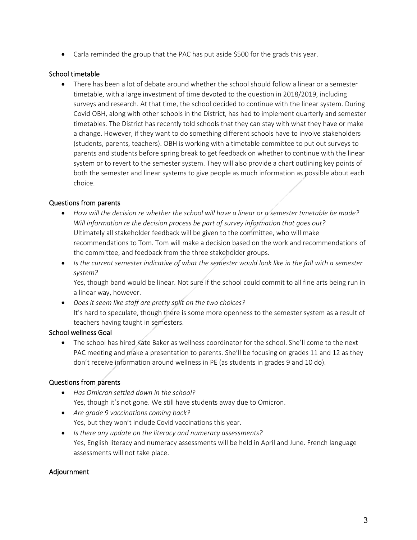• Carla reminded the group that the PAC has put aside \$500 for the grads this year.

### School timetable

• There has been a lot of debate around whether the school should follow a linear or a semester timetable, with a large investment of time devoted to the question in 2018/2019, including surveys and research. At that time, the school decided to continue with the linear system. During Covid OBH, along with other schools in the District, has had to implement quarterly and semester timetables. The District has recently told schools that they can stay with what they have or make a change. However, if they want to do something different schools have to involve stakeholders (students, parents, teachers). OBH is working with a timetable committee to put out surveys to parents and students before spring break to get feedback on whether to continue with the linear system or to revert to the semester system. They will also provide a chart outlining key points of both the semester and linear systems to give people as much information as possible about each choice.

### Questions from parents

- How will the decision re whether the school will have a linear or a semester timetable be made? *Will information re the decision process be part of survey information that goes out?* Ultimately all stakeholder feedback will be given to the committee, who will make recommendations to Tom. Tom will make a decision based on the work and recommendations of the committee, and feedback from the three stakeholder groups.
- *Is the current semester indicative of what the semester would look like in the fall with a semester system?*

Yes, though band would be linear. Not sure if the school could commit to all fine arts being run in a linear way, however.

• *Does it seem like staff are pretty split on the two choices?* It's hard to speculate, though there is some more openness to the semester system as a result of teachers having taught in semesters.

### School wellness Goal

• The school has hired Kate Baker as wellness coordinator for the school. She'll come to the next PAC meeting and make a presentation to parents. She'll be focusing on grades 11 and 12 as they don't receive information around wellness in PE (as students in grades 9 and 10 do).

## Questions from parents

- *Has Omicron settled down in the school?*  Yes, though it's not gone. We still have students away due to Omicron.
- *Are grade 9 vaccinations coming back?* Yes, but they won't include Covid vaccinations this year.
- *Is there any update on the literacy and numeracy assessments?* Yes, English literacy and numeracy assessments will be held in April and June. French language assessments will not take place.

### Adjournment